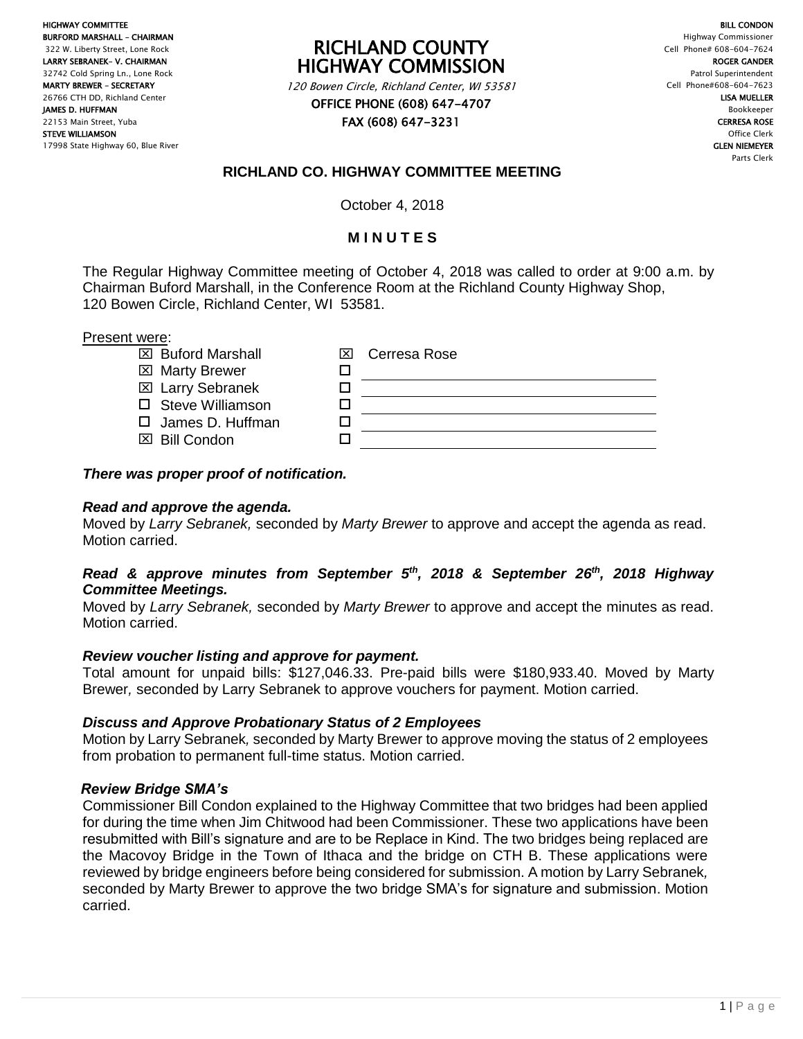HIGHWAY COMMITTEE BURFORD MARSHALL – CHAIRMAN 322 W. Liberty Street, Lone Rock LARRY SEBRANEK– V. CHAIRMAN 32742 Cold Spring Ln., Lone Rock MARTY BREWER – SECRETARY 26766 CTH DD, Richland Center JAMES D. HUFFMAN 22153 Main Street, Yuba STEVE WILLIAMSON 17998 State Highway 60, Blue River

RICHLAND COUNTY HIGHWAY COMMISSION

120 Bowen Circle, Richland Center, WI 53581 OFFICE PHONE (608) 647-4707

FAX (608) 647-3231

BILL CONDON Highway Commissioner Cell Phone# 608-604-7624 ROGER GANDER Patrol Superintendent Cell Phone#608-604-7623 LISA MUELLER Bookkeeper CERRESA ROSE Office Clerk GLEN NIEMEYER Parts Clerk

# **RICHLAND CO. HIGHWAY COMMITTEE MEETING**

October 4, 2018

## **M I N U T E S**

The Regular Highway Committee meeting of October 4, 2018 was called to order at 9:00 a.m. by Chairman Buford Marshall, in the Conference Room at the Richland County Highway Shop, 120 Bowen Circle, Richland Center, WI 53581.

#### Present were:

- $\boxtimes$  Buford Marshall  $\boxtimes$
- $\boxtimes$  **Marty Brewer** <del>□</del>
- Larry Sebranek
- $\square$  Steve Williamson  $\square$
- $\square$  James D. Huffman  $\square$
- **EXI** Bill Condon **D**

| Cerresa Rose |
|--------------|
|              |
|              |
|              |

### *There was proper proof of notification.*

### *Read and approve the agenda.*

Moved by *Larry Sebranek,* seconded by *Marty Brewer* to approve and accept the agenda as read. Motion carried.

### *Read & approve minutes from September 5th, 2018 & September 26th, 2018 Highway Committee Meetings.*

Moved by *Larry Sebranek,* seconded by *Marty Brewer* to approve and accept the minutes as read. Motion carried.

### *Review voucher listing and approve for payment.*

Total amount for unpaid bills: \$127,046.33. Pre-paid bills were \$180,933.40. Moved by Marty Brewer*,* seconded by Larry Sebranek to approve vouchers for payment. Motion carried.

### *Discuss and Approve Probationary Status of 2 Employees*

Motion by Larry Sebranek*,* seconded by Marty Brewer to approve moving the status of 2 employees from probation to permanent full-time status. Motion carried.

### *Review Bridge SMA's*

Commissioner Bill Condon explained to the Highway Committee that two bridges had been applied for during the time when Jim Chitwood had been Commissioner. These two applications have been resubmitted with Bill's signature and are to be Replace in Kind. The two bridges being replaced are the Macovoy Bridge in the Town of Ithaca and the bridge on CTH B. These applications were reviewed by bridge engineers before being considered for submission. A motion by Larry Sebranek*,* seconded by Marty Brewer to approve the two bridge SMA's for signature and submission. Motion carried.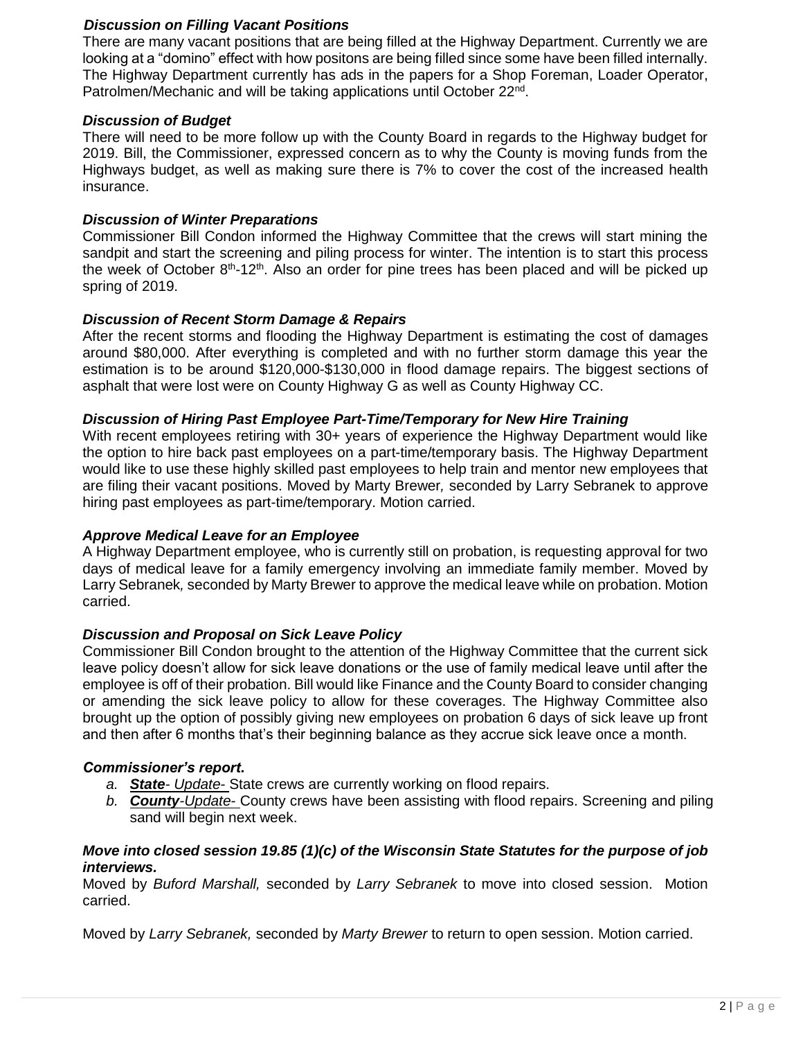### *Discussion on Filling Vacant Positions*

There are many vacant positions that are being filled at the Highway Department. Currently we are looking at a "domino" effect with how positons are being filled since some have been filled internally. The Highway Department currently has ads in the papers for a Shop Foreman, Loader Operator, Patrolmen/Mechanic and will be taking applications until October 22<sup>nd</sup>.

#### *Discussion of Budget*

There will need to be more follow up with the County Board in regards to the Highway budget for 2019. Bill, the Commissioner, expressed concern as to why the County is moving funds from the Highways budget, as well as making sure there is 7% to cover the cost of the increased health insurance.

#### *Discussion of Winter Preparations*

Commissioner Bill Condon informed the Highway Committee that the crews will start mining the sandpit and start the screening and piling process for winter. The intention is to start this process the week of October  $8<sup>th</sup>$ -12<sup>th</sup>. Also an order for pine trees has been placed and will be picked up spring of 2019.

#### *Discussion of Recent Storm Damage & Repairs*

After the recent storms and flooding the Highway Department is estimating the cost of damages around \$80,000. After everything is completed and with no further storm damage this year the estimation is to be around \$120,000-\$130,000 in flood damage repairs. The biggest sections of asphalt that were lost were on County Highway G as well as County Highway CC.

#### *Discussion of Hiring Past Employee Part-Time/Temporary for New Hire Training*

With recent employees retiring with 30+ years of experience the Highway Department would like the option to hire back past employees on a part-time/temporary basis. The Highway Department would like to use these highly skilled past employees to help train and mentor new employees that are filing their vacant positions. Moved by Marty Brewer*,* seconded by Larry Sebranek to approve hiring past employees as part-time/temporary. Motion carried.

#### *Approve Medical Leave for an Employee*

A Highway Department employee, who is currently still on probation, is requesting approval for two days of medical leave for a family emergency involving an immediate family member. Moved by Larry Sebranek*,* seconded by Marty Brewer to approve the medical leave while on probation. Motion carried.

#### *Discussion and Proposal on Sick Leave Policy*

Commissioner Bill Condon brought to the attention of the Highway Committee that the current sick leave policy doesn't allow for sick leave donations or the use of family medical leave until after the employee is off of their probation. Bill would like Finance and the County Board to consider changing or amending the sick leave policy to allow for these coverages. The Highway Committee also brought up the option of possibly giving new employees on probation 6 days of sick leave up front and then after 6 months that's their beginning balance as they accrue sick leave once a month.

#### *Commissioner's report***.**

- *a. State- Update-* State crews are currently working on flood repairs.
- *b. County-Update-* County crews have been assisting with flood repairs. Screening and piling sand will begin next week.

### *Move into closed session 19.85 (1)(c) of the Wisconsin State Statutes for the purpose of job interviews.*

Moved by *Buford Marshall,* seconded by *Larry Sebranek* to move into closed session. Motion carried.

Moved by *Larry Sebranek,* seconded by *Marty Brewer* to return to open session. Motion carried.